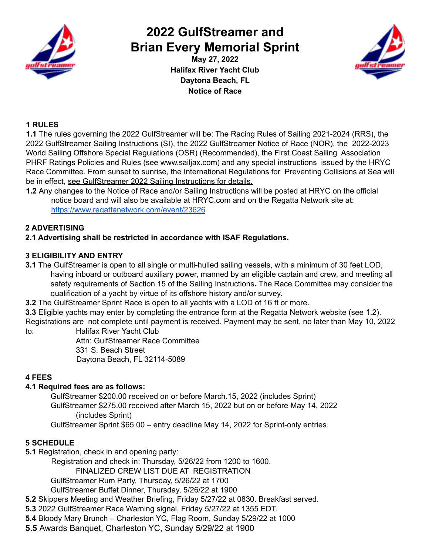

# **2022 GulfStreamer and Brian Every Memorial Sprint**

**May 27, 2022 Halifax River Yacht Club Daytona Beach, FL Notice of Race**



# **1 RULES**

**1.1** The rules governing the 2022 GulfStreamer will be: The Racing Rules of Sailing 2021-2024 (RRS), the 2022 GulfStreamer Sailing Instructions (SI), the 2022 GulfStreamer Notice of Race (NOR), the 2022-2023 World Sailing Offshore Special Regulations (OSR) (Recommended), the First Coast Sailing Association PHRF Ratings Policies and Rules (see www.sailjax.com) and any special instructions issued by the HRYC Race Committee. From sunset to sunrise, the International Regulations for Preventing Collisions at Sea will be in effect, see GulfStreamer 2022 Sailing Instructions for details.

**1.2** Any changes to the Notice of Race and/or Sailing Instructions will be posted at HRYC on the official notice board and will also be available at HRYC.com and on the Regatta Network site at: <https://www.regattanetwork.com/event/23626>

# **2 ADVERTISING**

# **2.1 Advertising shall be restricted in accordance with ISAF Regulations.**

# **3 ELIGIBILITY AND ENTRY**

- **3.1** The GulfStreamer is open to all single or multi-hulled sailing vessels, with a minimum of 30 feet LOD, having inboard or outboard auxiliary power, manned by an eligible captain and crew, and meeting all safety requirements of Section 15 of the Sailing Instructions**.** The Race Committee may consider the qualification of a yacht by virtue of its offshore history and/or survey.
- **3.2** The GulfStreamer Sprint Race is open to all yachts with a LOD of 16 ft or more.

**3.3** Eligible yachts may enter by completing the entrance form at the Regatta Network website (see 1.2). Registrations are not complete until payment is received. Payment may be sent, no later than May 10, 2022 to: Halifax River Yacht Club

Attn: GulfStreamer Race Committee 331 S. Beach Street Daytona Beach, FL 32114-5089

# **4 FEES**

# **4.1 Required fees are as follows:**

GulfStreamer \$200.00 received on or before March.15, 2022 (includes Sprint) GulfStreamer \$275.00 received after March 15, 2022 but on or before May 14, 2022 (includes Sprint)

GulfStreamer Sprint \$65.00 – entry deadline May 14, 2022 for Sprint-only entries.

# **5 SCHEDULE**

**5.1** Registration, check in and opening party:

Registration and check in: Thursday, 5/26/22 from 1200 to 1600.

FINALIZED CREW LIST DUE AT REGISTRATION

GulfStreamer Rum Party, Thursday, 5/26/22 at 1700

GulfStreamer Buffet Dinner, Thursday, 5/26/22 at 1900

- **5.2** Skippers Meeting and Weather Briefing, Friday 5/27/22 at 0830. Breakfast served.
- **5.3** 2022 GulfStreamer Race Warning signal, Friday 5/27/22 at 1355 EDT.

**5.4** Bloody Mary Brunch – Charleston YC, Flag Room, Sunday 5/29/22 at 1000

**5.5** Awards Banquet, Charleston YC, Sunday 5/29/22 at 1900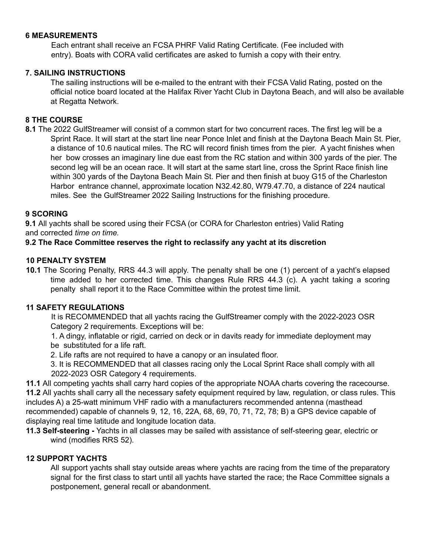# **6 MEASUREMENTS**

Each entrant shall receive an FCSA PHRF Valid Rating Certificate. (Fee included with entry). Boats with CORA valid certificates are asked to furnish a copy with their entry.

# **7. SAILING INSTRUCTIONS**

The sailing instructions will be e-mailed to the entrant with their FCSA Valid Rating, posted on the official notice board located at the Halifax River Yacht Club in Daytona Beach, and will also be available at Regatta Network.

# **8 THE COURSE**

**8.1** The 2022 GulfStreamer will consist of a common start for two concurrent races. The first leg will be a Sprint Race. It will start at the start line near Ponce Inlet and finish at the Daytona Beach Main St. Pier, a distance of 10.6 nautical miles. The RC will record finish times from the pier. A yacht finishes when her bow crosses an imaginary line due east from the RC station and within 300 yards of the pier. The second leg will be an ocean race. It will start at the same start line, cross the Sprint Race finish line within 300 yards of the Daytona Beach Main St. Pier and then finish at buoy G15 of the Charleston Harbor entrance channel, approximate location N32.42.80, W79.47.70, a distance of 224 nautical miles. See the GulfStreamer 2022 Sailing Instructions for the finishing procedure.

#### **9 SCORING**

**9.1** All yachts shall be scored using their FCSA (or CORA for Charleston entries) Valid Rating and corrected *time on time.*

#### **9.2 The Race Committee reserves the right to reclassify any yacht at its discretion**

#### **10 PENALTY SYSTEM**

**10.1** The Scoring Penalty, RRS 44.3 will apply. The penalty shall be one (1) percent of a yacht's elapsed time added to her corrected time. This changes Rule RRS 44.3 (c). A yacht taking a scoring penalty shall report it to the Race Committee within the protest time limit.

#### **11 SAFETY REGULATIONS**

It is RECOMMENDED that all yachts racing the GulfStreamer comply with the 2022-2023 OSR Category 2 requirements. Exceptions will be:

1. A dingy, inflatable or rigid, carried on deck or in davits ready for immediate deployment may be substituted for a life raft.

2. Life rafts are not required to have a canopy or an insulated floor.

3. It is RECOMMENDED that all classes racing only the Local Sprint Race shall comply with all 2022-2023 OSR Category 4 requirements.

**11.1** All competing yachts shall carry hard copies of the appropriate NOAA charts covering the racecourse. **11.2** All yachts shall carry all the necessary safety equipment required by law, regulation, or class rules. This includes A) a 25-watt minimum VHF radio with a manufacturers recommended antenna (masthead recommended) capable of channels 9, 12, 16, 22A, 68, 69, 70, 71, 72, 78; B) a GPS device capable of displaying real time latitude and longitude location data.

**11.3 Self-steering -** Yachts in all classes may be sailed with assistance of self-steering gear, electric or wind (modifies RRS 52).

#### **12 SUPPORT YACHTS**

All support yachts shall stay outside areas where yachts are racing from the time of the preparatory signal for the first class to start until all yachts have started the race; the Race Committee signals a postponement, general recall or abandonment.